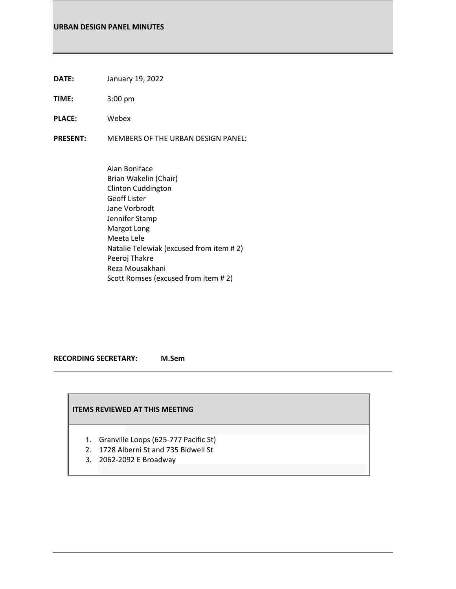- **DATE:** January 19, 2022
- **TIME:** 3:00 pm
- **PLACE:** Webex
- **PRESENT:** MEMBERS OF THE URBAN DESIGN PANEL:
	- Alan Boniface Brian Wakelin (Chair) Clinton Cuddington Geoff Lister Jane Vorbrodt Jennifer Stamp Margot Long Meeta Lele Natalie Telewiak (excused from item # 2) Peeroj Thakre Reza Mousakhani Scott Romses (excused from item # 2)

#### **RECORDING SECRETARY: M.Sem**

## **ITEMS REVIEWED AT THIS MEETING**

- 1. Granville Loops (625-777 Pacific St)
- 2. 1728 Alberni St and 735 Bidwell St
- 3. 2062-2092 E Broadway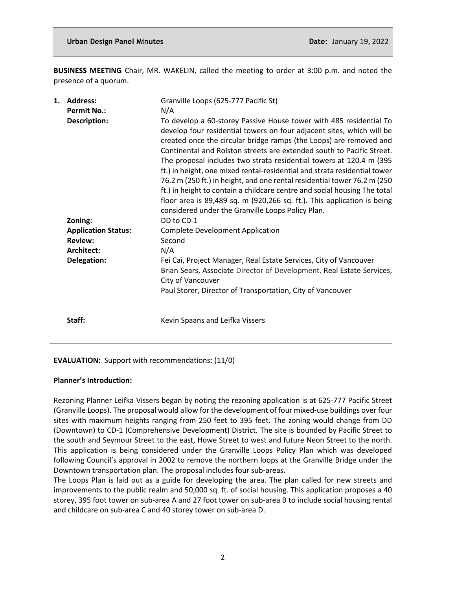**BUSINESS MEETING** Chair, MR. WAKELIN, called the meeting to order at 3:00 p.m. and noted the presence of a quorum.

| 1. | <b>Address:</b><br><b>Permit No.:</b> | Granville Loops (625-777 Pacific St)<br>N/A                                                                                                                                                                                                                                                                                                                                                                                                                                                                                                                                                                                                                                                                                              |
|----|---------------------------------------|------------------------------------------------------------------------------------------------------------------------------------------------------------------------------------------------------------------------------------------------------------------------------------------------------------------------------------------------------------------------------------------------------------------------------------------------------------------------------------------------------------------------------------------------------------------------------------------------------------------------------------------------------------------------------------------------------------------------------------------|
|    | Description:                          | To develop a 60-storey Passive House tower with 485 residential To<br>develop four residential towers on four adjacent sites, which will be<br>created once the circular bridge ramps (the Loops) are removed and<br>Continental and Rolston streets are extended south to Pacific Street.<br>The proposal includes two strata residential towers at 120.4 m (395)<br>ft.) in height, one mixed rental-residential and strata residential tower<br>76.2 m (250 ft.) in height, and one rental residential tower 76.2 m (250<br>ft.) in height to contain a childcare centre and social housing The total<br>floor area is 89,489 sq. m (920,266 sq. ft.). This application is being<br>considered under the Granville Loops Policy Plan. |
|    | Zoning:                               | DD to CD-1                                                                                                                                                                                                                                                                                                                                                                                                                                                                                                                                                                                                                                                                                                                               |
|    | <b>Application Status:</b>            | <b>Complete Development Application</b>                                                                                                                                                                                                                                                                                                                                                                                                                                                                                                                                                                                                                                                                                                  |
|    | <b>Review:</b>                        | Second                                                                                                                                                                                                                                                                                                                                                                                                                                                                                                                                                                                                                                                                                                                                   |
|    | Architect:                            | N/A                                                                                                                                                                                                                                                                                                                                                                                                                                                                                                                                                                                                                                                                                                                                      |
|    | Delegation:                           | Fei Cai, Project Manager, Real Estate Services, City of Vancouver<br>Brian Sears, Associate Director of Development, Real Estate Services,<br>City of Vancouver<br>Paul Storer, Director of Transportation, City of Vancouver                                                                                                                                                                                                                                                                                                                                                                                                                                                                                                            |
|    | Staff:                                | Kevin Spaans and Leifka Vissers                                                                                                                                                                                                                                                                                                                                                                                                                                                                                                                                                                                                                                                                                                          |

## **EVALUATION:** Support with recommendations: (11/0)

## **Planner's Introduction:**

Rezoning Planner Leifka Vissers began by noting the rezoning application is at 625-777 Pacific Street (Granville Loops). The proposal would allow for the development of four mixed-use buildings over four sites with maximum heights ranging from 250 feet to 395 feet. The zoning would change from DD (Downtown) to CD-1 (Comprehensive Development) District. The site is bounded by Pacific Street to the south and Seymour Street to the east, Howe Street to west and future Neon Street to the north. This application is being considered under the Granville Loops Policy Plan which was developed following Council's approval in 2002 to remove the northern loops at the Granville Bridge under the Downtown transportation plan. The proposal includes four sub-areas.

The Loops Plan is laid out as a guide for developing the area. The plan called for new streets and improvements to the public realm and 50,000 sq. ft. of social housing. This application proposes a 40 storey, 395 foot tower on sub-area A and 27 foot tower on sub-area B to include social housing rental and childcare on sub-area C and 40 storey tower on sub-area D.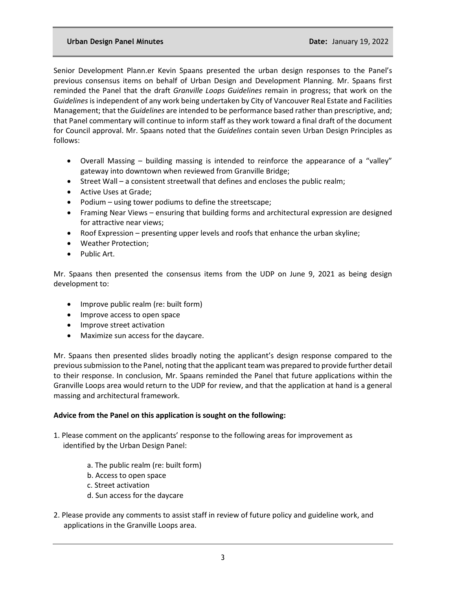Senior Development Plann.er Kevin Spaans presented the urban design responses to the Panel's previous consensus items on behalf of Urban Design and Development Planning. Mr. Spaans first reminded the Panel that the draft *Granville Loops Guidelines* remain in progress; that work on the *Guidelines* is independent of any work being undertaken by City of Vancouver Real Estate and Facilities Management; that the *Guidelines* are intended to be performance based rather than prescriptive, and; that Panel commentary will continue to inform staff as they work toward a final draft of the document for Council approval. Mr. Spaans noted that the *Guidelines* contain seven Urban Design Principles as follows:

- Overall Massing building massing is intended to reinforce the appearance of a "valley" gateway into downtown when reviewed from Granville Bridge;
- Street Wall a consistent streetwall that defines and encloses the public realm;
- Active Uses at Grade;
- Podium using tower podiums to define the streetscape;
- Framing Near Views ensuring that building forms and architectural expression are designed for attractive near views;
- Roof Expression presenting upper levels and roofs that enhance the urban skyline;
- Weather Protection;
- Public Art.

Mr. Spaans then presented the consensus items from the UDP on June 9, 2021 as being design development to:

- Improve public realm (re: built form)
- Improve access to open space
- Improve street activation
- Maximize sun access for the daycare.

Mr. Spaans then presented slides broadly noting the applicant's design response compared to the previous submission to the Panel, noting that the applicant team was prepared to provide further detail to their response. In conclusion, Mr. Spaans reminded the Panel that future applications within the Granville Loops area would return to the UDP for review, and that the application at hand is a general massing and architectural framework.

## **Advice from the Panel on this application is sought on the following:**

- 1. Please comment on the applicants' response to the following areas for improvement as identified by the Urban Design Panel:
	- a. The public realm (re: built form)
	- b. Access to open space
	- c. Street activation
	- d. Sun access for the daycare
- 2. Please provide any comments to assist staff in review of future policy and guideline work, and applications in the Granville Loops area.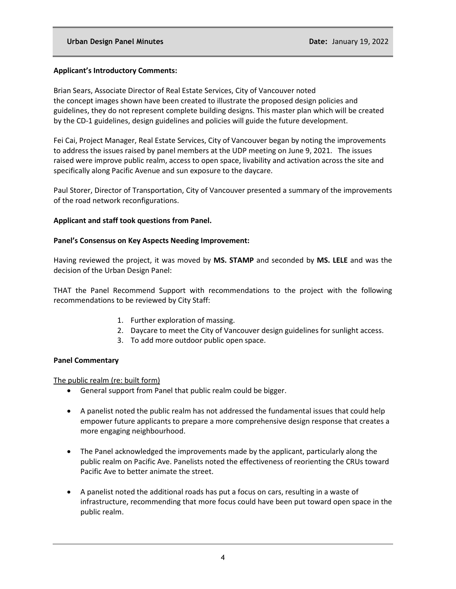## **Applicant's Introductory Comments:**

Brian Sears, Associate Director of Real Estate Services, City of Vancouver noted the concept images shown have been created to illustrate the proposed design policies and guidelines, they do not represent complete building designs. This master plan which will be created by the CD-1 guidelines, design guidelines and policies will guide the future development.

Fei Cai, Project Manager, Real Estate Services, City of Vancouver began by noting the improvements to address the issues raised by panel members at the UDP meeting on June 9, 2021. The issues raised were improve public realm, access to open space, livability and activation across the site and specifically along Pacific Avenue and sun exposure to the daycare.

Paul Storer, Director of Transportation, City of Vancouver presented a summary of the improvements of the road network reconfigurations.

#### **Applicant and staff took questions from Panel.**

#### **Panel's Consensus on Key Aspects Needing Improvement:**

Having reviewed the project, it was moved by **MS. STAMP** and seconded by **MS. LELE** and was the decision of the Urban Design Panel:

THAT the Panel Recommend Support with recommendations to the project with the following recommendations to be reviewed by City Staff:

- 1. Further exploration of massing.
- 2. Daycare to meet the City of Vancouver design guidelines for sunlight access.
- 3. To add more outdoor public open space.

#### **Panel Commentary**

The public realm (re: built form)

- General support from Panel that public realm could be bigger.
- A panelist noted the public realm has not addressed the fundamental issues that could help empower future applicants to prepare a more comprehensive design response that creates a more engaging neighbourhood.
- The Panel acknowledged the improvements made by the applicant, particularly along the public realm on Pacific Ave. Panelists noted the effectiveness of reorienting the CRUs toward Pacific Ave to better animate the street.
- A panelist noted the additional roads has put a focus on cars, resulting in a waste of infrastructure, recommending that more focus could have been put toward open space in the public realm.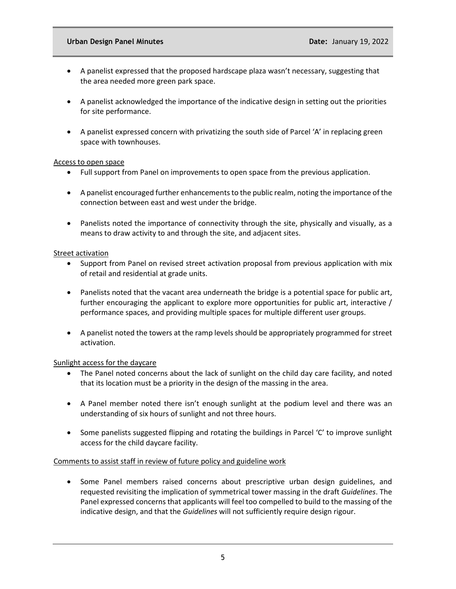- A panelist expressed that the proposed hardscape plaza wasn't necessary, suggesting that the area needed more green park space.
- A panelist acknowledged the importance of the indicative design in setting out the priorities for site performance.
- A panelist expressed concern with privatizing the south side of Parcel 'A' in replacing green space with townhouses.

#### Access to open space

- Full support from Panel on improvements to open space from the previous application.
- A panelist encouraged further enhancements to the public realm, noting the importance of the connection between east and west under the bridge.
- Panelists noted the importance of connectivity through the site, physically and visually, as a means to draw activity to and through the site, and adjacent sites.

## **Street activation**

- Support from Panel on revised street activation proposal from previous application with mix of retail and residential at grade units.
- Panelists noted that the vacant area underneath the bridge is a potential space for public art, further encouraging the applicant to explore more opportunities for public art, interactive / performance spaces, and providing multiple spaces for multiple different user groups.
- A panelist noted the towers at the ramp levels should be appropriately programmed for street activation.

## Sunlight access for the daycare

- The Panel noted concerns about the lack of sunlight on the child day care facility, and noted that its location must be a priority in the design of the massing in the area.
- A Panel member noted there isn't enough sunlight at the podium level and there was an understanding of six hours of sunlight and not three hours.
- Some panelists suggested flipping and rotating the buildings in Parcel 'C' to improve sunlight access for the child daycare facility.

## Comments to assist staff in review of future policy and guideline work

• Some Panel members raised concerns about prescriptive urban design guidelines, and requested revisiting the implication of symmetrical tower massing in the draft *Guidelines*. The Panel expressed concerns that applicants will feel too compelled to build to the massing of the indicative design, and that the *Guidelines* will not sufficiently require design rigour.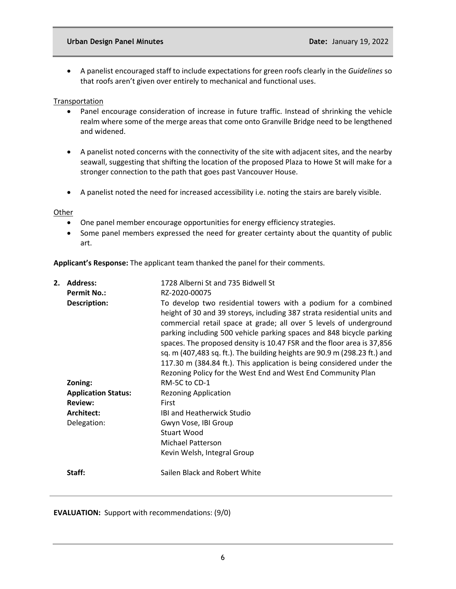#### **Urban Design Panel Minutes Community Community Community Community Community Community Community Community Community Community Community Community Community Community Community Community Community Community Community Comm**

• A panelist encouraged staff to include expectations for green roofs clearly in the *Guidelines* so that roofs aren't given over entirely to mechanical and functional uses.

## **Transportation**

- Panel encourage consideration of increase in future traffic. Instead of shrinking the vehicle realm where some of the merge areas that come onto Granville Bridge need to be lengthened and widened.
- A panelist noted concerns with the connectivity of the site with adjacent sites, and the nearby seawall, suggesting that shifting the location of the proposed Plaza to Howe St will make for a stronger connection to the path that goes past Vancouver House.
- A panelist noted the need for increased accessibility i.e. noting the stairs are barely visible.

**Other** 

- One panel member encourage opportunities for energy efficiency strategies.
- Some panel members expressed the need for greater certainty about the quantity of public art.

**Applicant's Response:** The applicant team thanked the panel for their comments.

| 2. | <b>Address:</b><br><b>Permit No.:</b><br><b>Description:</b> | 1728 Alberni St and 735 Bidwell St<br>RZ-2020-00075<br>To develop two residential towers with a podium for a combined<br>height of 30 and 39 storeys, including 387 strata residential units and<br>commercial retail space at grade; all over 5 levels of underground<br>parking including 500 vehicle parking spaces and 848 bicycle parking<br>spaces. The proposed density is 10.47 FSR and the floor area is 37,856<br>sq. m (407,483 sq. ft.). The building heights are 90.9 m (298.23 ft.) and<br>117.30 m (384.84 ft.). This application is being considered under the<br>Rezoning Policy for the West End and West End Community Plan |
|----|--------------------------------------------------------------|------------------------------------------------------------------------------------------------------------------------------------------------------------------------------------------------------------------------------------------------------------------------------------------------------------------------------------------------------------------------------------------------------------------------------------------------------------------------------------------------------------------------------------------------------------------------------------------------------------------------------------------------|
|    | Zoning:                                                      | RM-5C to CD-1                                                                                                                                                                                                                                                                                                                                                                                                                                                                                                                                                                                                                                  |
|    | <b>Application Status:</b>                                   | <b>Rezoning Application</b>                                                                                                                                                                                                                                                                                                                                                                                                                                                                                                                                                                                                                    |
|    | <b>Review:</b>                                               | <b>First</b>                                                                                                                                                                                                                                                                                                                                                                                                                                                                                                                                                                                                                                   |
|    | Architect:                                                   | <b>IBI and Heatherwick Studio</b>                                                                                                                                                                                                                                                                                                                                                                                                                                                                                                                                                                                                              |
|    | Delegation:                                                  | Gwyn Vose, IBI Group                                                                                                                                                                                                                                                                                                                                                                                                                                                                                                                                                                                                                           |
|    |                                                              | Stuart Wood                                                                                                                                                                                                                                                                                                                                                                                                                                                                                                                                                                                                                                    |
|    |                                                              | <b>Michael Patterson</b>                                                                                                                                                                                                                                                                                                                                                                                                                                                                                                                                                                                                                       |
|    |                                                              | Kevin Welsh, Integral Group                                                                                                                                                                                                                                                                                                                                                                                                                                                                                                                                                                                                                    |
|    | Staff:                                                       | Sailen Black and Robert White                                                                                                                                                                                                                                                                                                                                                                                                                                                                                                                                                                                                                  |

**EVALUATION:** Support with recommendations: (9/0)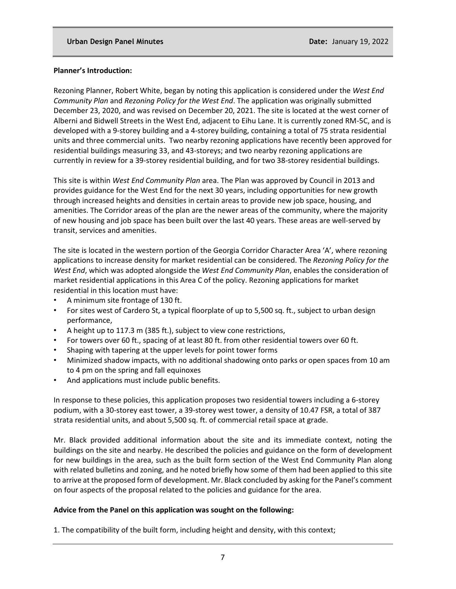#### **Planner's Introduction:**

Rezoning Planner, Robert White, began by noting this application is considered under the *West End Community Plan* and *Rezoning Policy for the West End*. The application was originally submitted December 23, 2020, and was revised on December 20, 2021. The site is located at the west corner of Alberni and Bidwell Streets in the West End, adjacent to Eihu Lane. It is currently zoned RM-5C, and is developed with a 9-storey building and a 4-storey building, containing a total of 75 strata residential units and three commercial units. Two nearby rezoning applications have recently been approved for residential buildings measuring 33, and 43-storeys; and two nearby rezoning applications are currently in review for a 39-storey residential building, and for two 38-storey residential buildings.

This site is within *West End Community Plan* area. The Plan was approved by Council in 2013 and provides guidance for the West End for the next 30 years, including opportunities for new growth through increased heights and densities in certain areas to provide new job space, housing, and amenities. The Corridor areas of the plan are the newer areas of the community, where the majority of new housing and job space has been built over the last 40 years. These areas are well-served by transit, services and amenities.

The site is located in the western portion of the Georgia Corridor Character Area 'A', where rezoning applications to increase density for market residential can be considered. The *Rezoning Policy for the West End*, which was adopted alongside the *West End Community Plan*, enables the consideration of market residential applications in this Area C of the policy. Rezoning applications for market residential in this location must have:

- A minimum site frontage of 130 ft.
- For sites west of Cardero St, a typical floorplate of up to 5,500 sq. ft., subject to urban design performance,
- A height up to 117.3 m (385 ft.), subject to view cone restrictions,
- For towers over 60 ft., spacing of at least 80 ft. from other residential towers over 60 ft.
- Shaping with tapering at the upper levels for point tower forms
- Minimized shadow impacts, with no additional shadowing onto parks or open spaces from 10 am to 4 pm on the spring and fall equinoxes
- And applications must include public benefits.

In response to these policies, this application proposes two residential towers including a 6-storey podium, with a 30-storey east tower, a 39-storey west tower, a density of 10.47 FSR, a total of 387 strata residential units, and about 5,500 sq. ft. of commercial retail space at grade.

Mr. Black provided additional information about the site and its immediate context, noting the buildings on the site and nearby. He described the policies and guidance on the form of development for new buildings in the area, such as the built form section of the West End Community Plan along with related bulletins and zoning, and he noted briefly how some of them had been applied to this site to arrive at the proposed form of development. Mr. Black concluded by asking for the Panel's comment on four aspects of the proposal related to the policies and guidance for the area.

## **Advice from the Panel on this application was sought on the following:**

1. The compatibility of the built form, including height and density, with this context;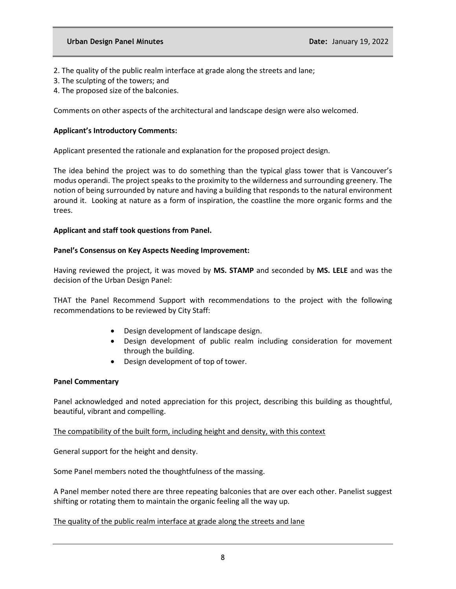- 2. The quality of the public realm interface at grade along the streets and lane;
- 3. The sculpting of the towers; and
- 4. The proposed size of the balconies.

Comments on other aspects of the architectural and landscape design were also welcomed.

## **Applicant's Introductory Comments:**

Applicant presented the rationale and explanation for the proposed project design.

The idea behind the project was to do something than the typical glass tower that is Vancouver's modus operandi. The project speaks to the proximity to the wilderness and surrounding greenery. The notion of being surrounded by nature and having a building that responds to the natural environment around it. Looking at nature as a form of inspiration, the coastline the more organic forms and the trees.

## **Applicant and staff took questions from Panel.**

#### **Panel's Consensus on Key Aspects Needing Improvement:**

Having reviewed the project, it was moved by **MS. STAMP** and seconded by **MS. LELE** and was the decision of the Urban Design Panel:

THAT the Panel Recommend Support with recommendations to the project with the following recommendations to be reviewed by City Staff:

- Design development of landscape design.
- Design development of public realm including consideration for movement through the building.
- Design development of top of tower.

## **Panel Commentary**

Panel acknowledged and noted appreciation for this project, describing this building as thoughtful, beautiful, vibrant and compelling.

## The compatibility of the built form, including height and density, with this context

General support for the height and density.

Some Panel members noted the thoughtfulness of the massing.

A Panel member noted there are three repeating balconies that are over each other. Panelist suggest shifting or rotating them to maintain the organic feeling all the way up.

## The quality of the public realm interface at grade along the streets and lane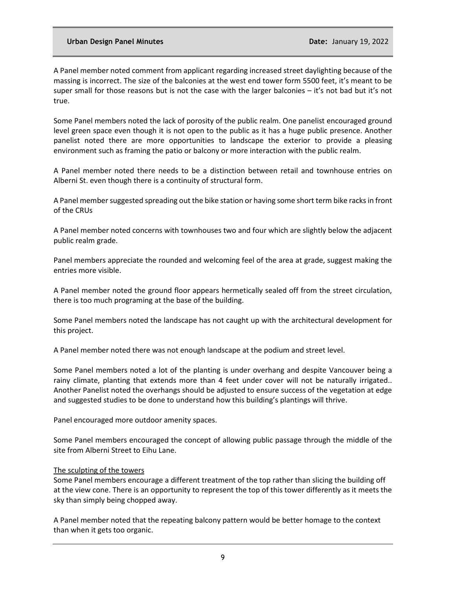A Panel member noted comment from applicant regarding increased street daylighting because of the massing is incorrect. The size of the balconies at the west end tower form 5500 feet, it's meant to be super small for those reasons but is not the case with the larger balconies – it's not bad but it's not true.

Some Panel members noted the lack of porosity of the public realm. One panelist encouraged ground level green space even though it is not open to the public as it has a huge public presence. Another panelist noted there are more opportunities to landscape the exterior to provide a pleasing environment such as framing the patio or balcony or more interaction with the public realm.

A Panel member noted there needs to be a distinction between retail and townhouse entries on Alberni St. even though there is a continuity of structural form.

A Panel member suggested spreading out the bike station or having some short term bike racks in front of the CRUs

A Panel member noted concerns with townhouses two and four which are slightly below the adjacent public realm grade.

Panel members appreciate the rounded and welcoming feel of the area at grade, suggest making the entries more visible.

A Panel member noted the ground floor appears hermetically sealed off from the street circulation, there is too much programing at the base of the building.

Some Panel members noted the landscape has not caught up with the architectural development for this project.

A Panel member noted there was not enough landscape at the podium and street level.

Some Panel members noted a lot of the planting is under overhang and despite Vancouver being a rainy climate, planting that extends more than 4 feet under cover will not be naturally irrigated.. Another Panelist noted the overhangs should be adjusted to ensure success of the vegetation at edge and suggested studies to be done to understand how this building's plantings will thrive.

Panel encouraged more outdoor amenity spaces.

Some Panel members encouraged the concept of allowing public passage through the middle of the site from Alberni Street to Eihu Lane.

#### The sculpting of the towers

Some Panel members encourage a different treatment of the top rather than slicing the building off at the view cone. There is an opportunity to represent the top of this tower differently as it meets the sky than simply being chopped away.

A Panel member noted that the repeating balcony pattern would be better homage to the context than when it gets too organic.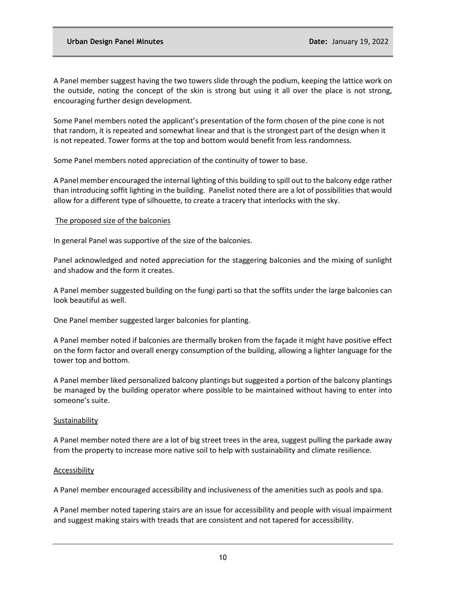A Panel member suggest having the two towers slide through the podium, keeping the lattice work on the outside, noting the concept of the skin is strong but using it all over the place is not strong, encouraging further design development.

Some Panel members noted the applicant's presentation of the form chosen of the pine cone is not that random, it is repeated and somewhat linear and that is the strongest part of the design when it is not repeated. Tower forms at the top and bottom would benefit from less randomness.

Some Panel members noted appreciation of the continuity of tower to base.

A Panel member encouraged the internal lighting of this building to spill out to the balcony edge rather than introducing soffit lighting in the building. Panelist noted there are a lot of possibilities that would allow for a different type of silhouette, to create a tracery that interlocks with the sky.

## The proposed size of the balconies

In general Panel was supportive of the size of the balconies.

Panel acknowledged and noted appreciation for the staggering balconies and the mixing of sunlight and shadow and the form it creates.

A Panel member suggested building on the fungi parti so that the soffits under the large balconies can look beautiful as well.

One Panel member suggested larger balconies for planting.

A Panel member noted if balconies are thermally broken from the façade it might have positive effect on the form factor and overall energy consumption of the building, allowing a lighter language for the tower top and bottom.

A Panel member liked personalized balcony plantings but suggested a portion of the balcony plantings be managed by the building operator where possible to be maintained without having to enter into someone's suite.

#### Sustainability

A Panel member noted there are a lot of big street trees in the area, suggest pulling the parkade away from the property to increase more native soil to help with sustainability and climate resilience.

#### **Accessibility**

A Panel member encouraged accessibility and inclusiveness of the amenities such as pools and spa.

A Panel member noted tapering stairs are an issue for accessibility and people with visual impairment and suggest making stairs with treads that are consistent and not tapered for accessibility.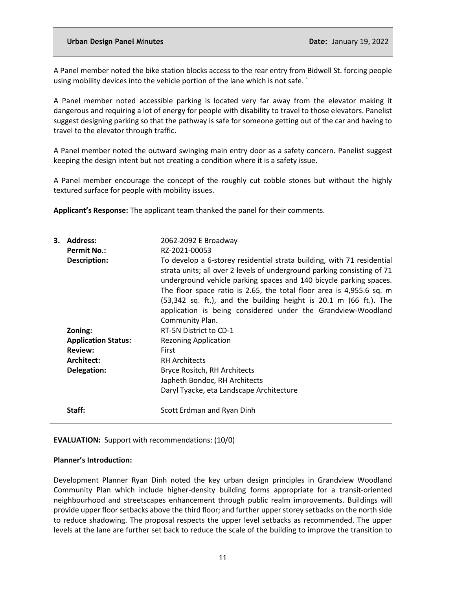A Panel member noted the bike station blocks access to the rear entry from Bidwell St. forcing people using mobility devices into the vehicle portion of the lane which is not safe. `

A Panel member noted accessible parking is located very far away from the elevator making it dangerous and requiring a lot of energy for people with disability to travel to those elevators. Panelist suggest designing parking so that the pathway is safe for someone getting out of the car and having to travel to the elevator through traffic.

A Panel member noted the outward swinging main entry door as a safety concern. Panelist suggest keeping the design intent but not creating a condition where it is a safety issue.

A Panel member encourage the concept of the roughly cut cobble stones but without the highly textured surface for people with mobility issues.

**Applicant's Response:** The applicant team thanked the panel for their comments.

| <b>Address:</b>            | 2062-2092 E Broadway                                                                                                                                                                                                                                                                                                                                                                                                                                               |
|----------------------------|--------------------------------------------------------------------------------------------------------------------------------------------------------------------------------------------------------------------------------------------------------------------------------------------------------------------------------------------------------------------------------------------------------------------------------------------------------------------|
|                            | RZ-2021-00053                                                                                                                                                                                                                                                                                                                                                                                                                                                      |
| Description:               | To develop a 6-storey residential strata building, with 71 residential<br>strata units; all over 2 levels of underground parking consisting of 71<br>underground vehicle parking spaces and 140 bicycle parking spaces.<br>The floor space ratio is 2.65, the total floor area is 4,955.6 sq. m<br>$(53,342 \text{ sq. ft.})$ , and the building height is 20.1 m (66 ft.). The<br>application is being considered under the Grandview-Woodland<br>Community Plan. |
| Zoning:                    | RT-5N District to CD-1                                                                                                                                                                                                                                                                                                                                                                                                                                             |
| <b>Application Status:</b> | <b>Rezoning Application</b>                                                                                                                                                                                                                                                                                                                                                                                                                                        |
| <b>Review:</b>             | <b>First</b>                                                                                                                                                                                                                                                                                                                                                                                                                                                       |
| Architect:                 | <b>RH Architects</b>                                                                                                                                                                                                                                                                                                                                                                                                                                               |
| Delegation:                | Bryce Rositch, RH Architects                                                                                                                                                                                                                                                                                                                                                                                                                                       |
|                            | Japheth Bondoc, RH Architects                                                                                                                                                                                                                                                                                                                                                                                                                                      |
|                            | Daryl Tyacke, eta Landscape Architecture                                                                                                                                                                                                                                                                                                                                                                                                                           |
| Staff:                     | Scott Erdman and Ryan Dinh                                                                                                                                                                                                                                                                                                                                                                                                                                         |
|                            | <b>Permit No.:</b>                                                                                                                                                                                                                                                                                                                                                                                                                                                 |

#### **EVALUATION:** Support with recommendations: (10/0)

#### **Planner's Introduction:**

Development Planner Ryan Dinh noted the key urban design principles in Grandview Woodland Community Plan which include higher-density building forms appropriate for a transit-oriented neighbourhood and streetscapes enhancement through public realm improvements. Buildings will provide upper floor setbacks above the third floor; and further upper storey setbacks on the north side to reduce shadowing. The proposal respects the upper level setbacks as recommended. The upper levels at the lane are further set back to reduce the scale of the building to improve the transition to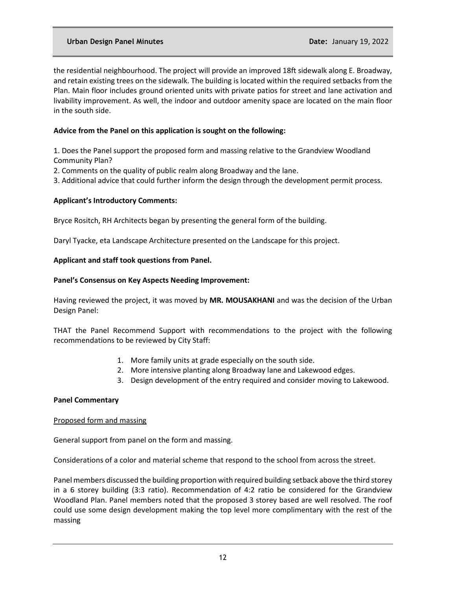the residential neighbourhood. The project will provide an improved 18ft sidewalk along E. Broadway, and retain existing trees on the sidewalk. The building is located within the required setbacks from the Plan. Main floor includes ground oriented units with private patios for street and lane activation and livability improvement. As well, the indoor and outdoor amenity space are located on the main floor in the south side.

## **Advice from the Panel on this application is sought on the following:**

1. Does the Panel support the proposed form and massing relative to the Grandview Woodland Community Plan?

- 2. Comments on the quality of public realm along Broadway and the lane.
- 3. Additional advice that could further inform the design through the development permit process.

## **Applicant's Introductory Comments:**

Bryce Rositch, RH Architects began by presenting the general form of the building.

Daryl Tyacke, eta Landscape Architecture presented on the Landscape for this project.

## **Applicant and staff took questions from Panel.**

#### **Panel's Consensus on Key Aspects Needing Improvement:**

Having reviewed the project, it was moved by **MR. MOUSAKHANI** and was the decision of the Urban Design Panel:

THAT the Panel Recommend Support with recommendations to the project with the following recommendations to be reviewed by City Staff:

- 1. More family units at grade especially on the south side.
- 2. More intensive planting along Broadway lane and Lakewood edges.
- 3. Design development of the entry required and consider moving to Lakewood.

## **Panel Commentary**

#### Proposed form and massing

General support from panel on the form and massing.

Considerations of a color and material scheme that respond to the school from across the street.

Panel members discussed the building proportion with required building setback above the third storey in a 6 storey building (3:3 ratio). Recommendation of 4:2 ratio be considered for the Grandview Woodland Plan. Panel members noted that the proposed 3 storey based are well resolved. The roof could use some design development making the top level more complimentary with the rest of the massing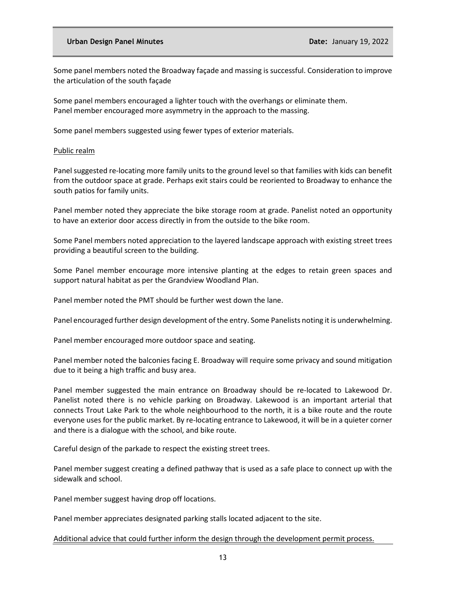Some panel members noted the Broadway façade and massing is successful. Consideration to improve the articulation of the south façade

Some panel members encouraged a lighter touch with the overhangs or eliminate them. Panel member encouraged more asymmetry in the approach to the massing.

Some panel members suggested using fewer types of exterior materials.

#### Public realm

Panel suggested re-locating more family units to the ground level so that families with kids can benefit from the outdoor space at grade. Perhaps exit stairs could be reoriented to Broadway to enhance the south patios for family units.

Panel member noted they appreciate the bike storage room at grade. Panelist noted an opportunity to have an exterior door access directly in from the outside to the bike room.

Some Panel members noted appreciation to the layered landscape approach with existing street trees providing a beautiful screen to the building.

Some Panel member encourage more intensive planting at the edges to retain green spaces and support natural habitat as per the Grandview Woodland Plan.

Panel member noted the PMT should be further west down the lane.

Panel encouraged further design development of the entry. Some Panelists noting it is underwhelming.

Panel member encouraged more outdoor space and seating.

Panel member noted the balconies facing E. Broadway will require some privacy and sound mitigation due to it being a high traffic and busy area.

Panel member suggested the main entrance on Broadway should be re-located to Lakewood Dr. Panelist noted there is no vehicle parking on Broadway. Lakewood is an important arterial that connects Trout Lake Park to the whole neighbourhood to the north, it is a bike route and the route everyone uses for the public market. By re-locating entrance to Lakewood, it will be in a quieter corner and there is a dialogue with the school, and bike route.

Careful design of the parkade to respect the existing street trees.

Panel member suggest creating a defined pathway that is used as a safe place to connect up with the sidewalk and school.

Panel member suggest having drop off locations.

Panel member appreciates designated parking stalls located adjacent to the site.

Additional advice that could further inform the design through the development permit process.